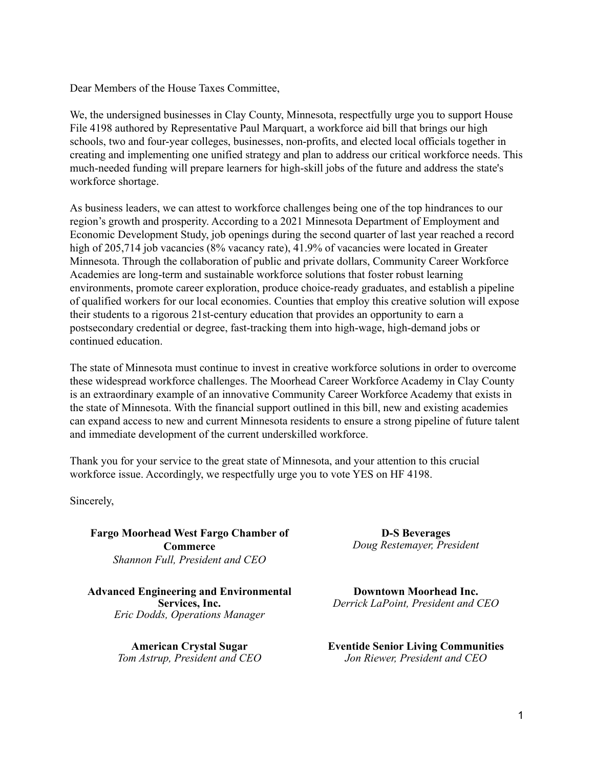Dear Members of the House Taxes Committee,

We, the undersigned businesses in Clay County, Minnesota, respectfully urge you to support House File 4198 authored by Representative Paul Marquart, a workforce aid bill that brings our high schools, two and four-year colleges, businesses, non-profits, and elected local officials together in creating and implementing one unified strategy and plan to address our critical workforce needs. This much-needed funding will prepare learners for high-skill jobs of the future and address the state's workforce shortage.

As business leaders, we can attest to workforce challenges being one of the top hindrances to our region's growth and prosperity. According to a 2021 Minnesota Department of Employment and Economic Development Study, job openings during the second quarter of last year reached a record high of 205,714 job vacancies (8% vacancy rate), 41.9% of vacancies were located in Greater Minnesota. Through the collaboration of public and private dollars, Community Career Workforce Academies are long-term and sustainable workforce solutions that foster robust learning environments, promote career exploration, produce choice-ready graduates, and establish a pipeline of qualified workers for our local economies. Counties that employ this creative solution will expose their students to a rigorous 21st-century education that provides an opportunity to earn a postsecondary credential or degree, fast-tracking them into high-wage, high-demand jobs or continued education.

The state of Minnesota must continue to invest in creative workforce solutions in order to overcome these widespread workforce challenges. The Moorhead Career Workforce Academy in Clay County is an extraordinary example of an innovative Community Career Workforce Academy that exists in the state of Minnesota. With the financial support outlined in this bill, new and existing academies can expand access to new and current Minnesota residents to ensure a strong pipeline of future talent and immediate development of the current underskilled workforce.

Thank you for your service to the great state of Minnesota, and your attention to this crucial workforce issue. Accordingly, we respectfully urge you to vote YES on HF 4198.

Sincerely,

**Fargo Moorhead West Fargo Chamber of Commerce** *Shannon Full, President and CEO*

**Advanced Engineering and Environmental Services, Inc.** *Eric Dodds, Operations Manager*

> **American Crystal Sugar** *Tom Astrup, President and CEO*

**D-S Beverages** *Doug Restemayer, President*

**Downtown Moorhead Inc.** *Derrick LaPoint, President and CEO*

**Eventide Senior Living Communities** *Jon Riewer, President and CEO*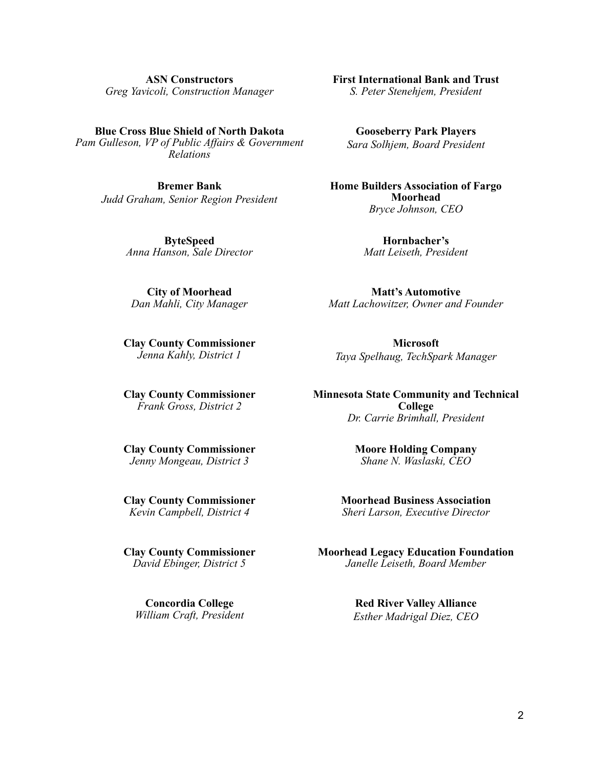**ASN Constructors** *Greg Yavicoli, Construction Manager*

**Blue Cross Blue Shield of North Dakota** *Pam Gulleson, VP of Public Affairs & Government Relations*

**Bremer Bank** *Judd Graham, Senior Region President*

> **ByteSpeed** *Anna Hanson, Sale Director*

**City of Moorhead** *Dan Mahli, City Manager*

**Clay County Commissioner** *Jenna Kahly, District 1*

**Clay County Commissioner** *Frank Gross, District 2*

**Clay County Commissioner** *Jenny Mongeau, District 3*

**Clay County Commissioner** *Kevin Campbell, District 4*

**Clay County Commissioner** *David Ebinger, District 5*

**Concordia College** *William Craft, President* **First International Bank and Trust** *S. Peter Stenehjem, President*

**Gooseberry Park Players** *Sara Solhjem, Board President*

**Home Builders Association of Fargo Moorhead** *Bryce Johnson, CEO*

> **Hornbacher's** *Matt Leiseth, President*

**Matt's Automotive** *Matt Lachowitzer, Owner and Founder*

**Microsoft** *Taya Spelhaug, TechSpark Manager*

**Minnesota State Community and Technical College** *Dr. Carrie Brimhall, President*

> **Moore Holding Company** *Shane N. Waslaski, CEO*

**Moorhead Business Association** *Sheri Larson, Executive Director*

**Moorhead Legacy Education Foundation** *Janelle Leiseth, Board Member*

> **Red River Valley Alliance** *Esther Madrigal Diez, CEO*